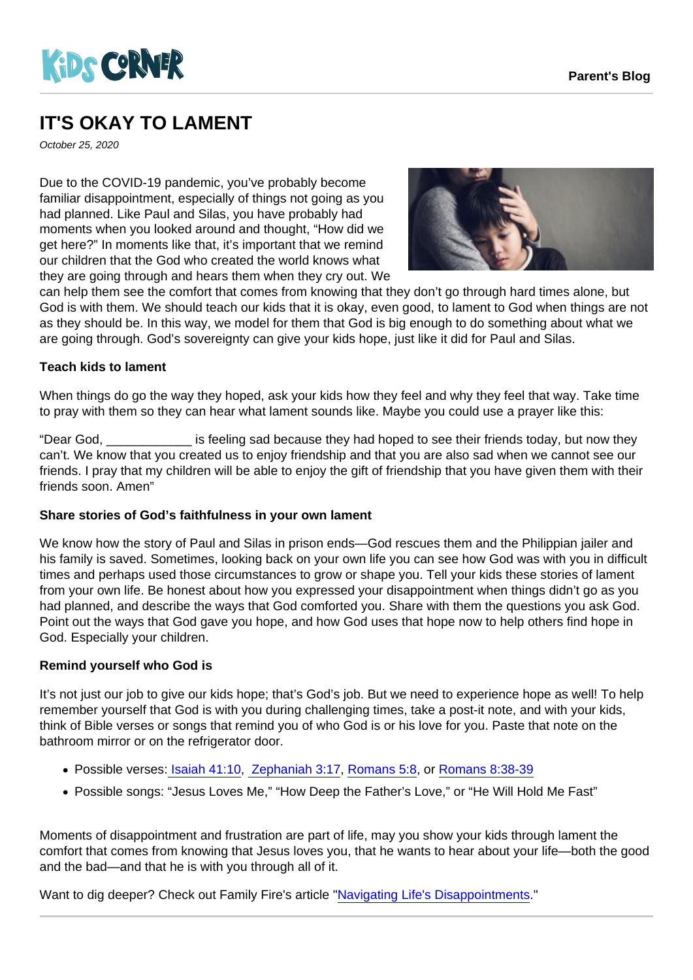## IT'S OKAY TO LAMENT

October 25, 2020

Due to the COVID-19 pandemic, you've probably become familiar disappointment, especially of things not going as you had planned. Like Paul and Silas, you have probably had moments when you looked around and thought, "How did we get here?" In moments like that, it's important that we remind our children that the God who created the world knows what they are going through and hears them when they cry out. We can help them see the comfort that comes from knowing that they don't go through hard times alone, but

God is with them. We should teach our kids that it is okay, even good, to lament to God when things are not as they should be. In this way, we model for them that God is big enough to do something about what we are going through. God's sovereignty can give your kids hope, just like it did for Paul and Silas.

Teach kids to lament

When things do go the way they hoped, ask your kids how they feel and why they feel that way. Take time to pray with them so they can hear what lament sounds like. Maybe you could use a prayer like this:

"Dear God, \_\_\_\_\_\_\_\_\_\_\_\_ is feeling sad because they had hoped to see their friends today, but now they can't. We know that you created us to enjoy friendship and that you are also sad when we cannot see our friends. I pray that my children will be able to enjoy the gift of friendship that you have given them with their friends soon. Amen"

Share stories of God's faithfulness in your own lament

We know how the story of Paul and Silas in prison ends—God rescues them and the Philippian jailer and his family is saved. Sometimes, looking back on your own life you can see how God was with you in difficult times and perhaps used those circumstances to grow or shape you. Tell your kids these stories of lament from your own life. Be honest about how you expressed your disappointment when things didn't go as you had planned, and describe the ways that God comforted you. Share with them the questions you ask God. Point out the ways that God gave you hope, and how God uses that hope now to help others find hope in God. Especially your children.

## Remind yourself who God is

It's not just our job to give our kids hope; that's God's job. But we need to experience hope as well! To help remember yourself that God is with you during challenging times, take a post-it note, and with your kids, think of Bible verses or songs that remind you of who God is or his love for you. Paste that note on the bathroom mirror or on the refrigerator door.

- Possible verses[: Isaiah 41:10](https://www.biblegateway.com/passage/?search=Isa+41:10&version=CEV), [Zephaniah 3:17,](https://www.biblegateway.com/passage/?search=+Zeph+3:17&version=CEV) [Romans 5:8](https://www.biblegateway.com/passage/?search=Rom+5:8&version=CEV), or [Romans 8:38-39](https://www.biblegateway.com/passage/?search=Rom+8:38-39&version=CEV)
- Possible songs: "Jesus Loves Me," "How Deep the Father's Love," or "He Will Hold Me Fast"

Moments of disappointment and frustration are part of life, may you show your kids through lament the comfort that comes from knowing that Jesus loves you, that he wants to hear about your life—both the good and the bad—and that he is with you through all of it.

Want to dig deeper? Check out Family Fire's article ["Navigating Life's Disappointments](https://familyfire.reframemedia.com/articles/navigating-lifes-disappointments)."